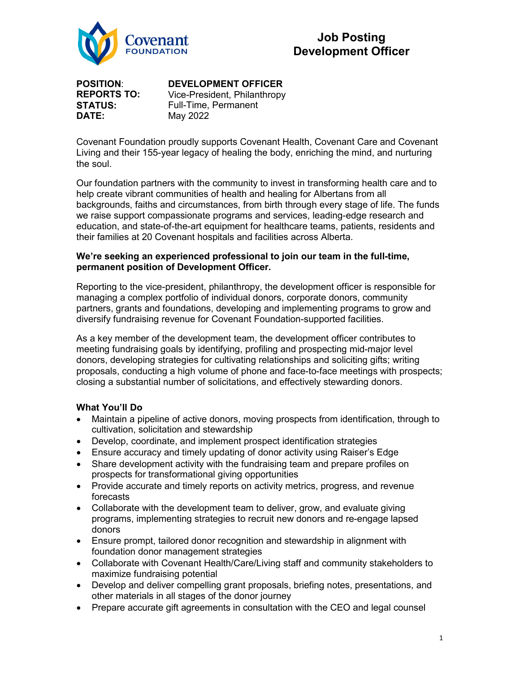

**POSITION**: **REPORTS TO: STATUS: DATE:**

# **DEVELOPMENT OFFICER**

Vice-President, Philanthropy Full-Time, Permanent May 2022

Covenant Foundation proudly supports Covenant Health, Covenant Care and Covenant Living and their 155-year legacy of healing the body, enriching the mind, and nurturing the soul.

Our foundation partners with the community to invest in transforming health care and to help create vibrant communities of health and healing for Albertans from all backgrounds, faiths and circumstances, from birth through every stage of life. The funds we raise support compassionate programs and services, leading-edge research and education, and state-of-the-art equipment for healthcare teams, patients, residents and their families at 20 Covenant hospitals and facilities across Alberta.

#### **We're seeking an experienced professional to join our team in the full-time, permanent position of Development Officer.**

Reporting to the vice-president, philanthropy, the development officer is responsible for managing a complex portfolio of individual donors, corporate donors, community partners, grants and foundations, developing and implementing programs to grow and diversify fundraising revenue for Covenant Foundation-supported facilities.

As a key member of the development team, the development officer contributes to meeting fundraising goals by identifying, profiling and prospecting mid-major level donors, developing strategies for cultivating relationships and soliciting gifts; writing proposals, conducting a high volume of phone and face-to-face meetings with prospects; closing a substantial number of solicitations, and effectively stewarding donors.

## **What You'll Do**

- Maintain a pipeline of active donors, moving prospects from identification, through to cultivation, solicitation and stewardship
- Develop, coordinate, and implement prospect identification strategies
- Ensure accuracy and timely updating of donor activity using Raiser's Edge
- Share development activity with the fundraising team and prepare profiles on prospects for transformational giving opportunities
- Provide accurate and timely reports on activity metrics, progress, and revenue forecasts
- Collaborate with the development team to deliver, grow, and evaluate giving programs, implementing strategies to recruit new donors and re-engage lapsed donors
- Ensure prompt, tailored donor recognition and stewardship in alignment with foundation donor management strategies
- Collaborate with Covenant Health/Care/Living staff and community stakeholders to maximize fundraising potential
- Develop and deliver compelling grant proposals, briefing notes, presentations, and other materials in all stages of the donor journey
- Prepare accurate gift agreements in consultation with the CEO and legal counsel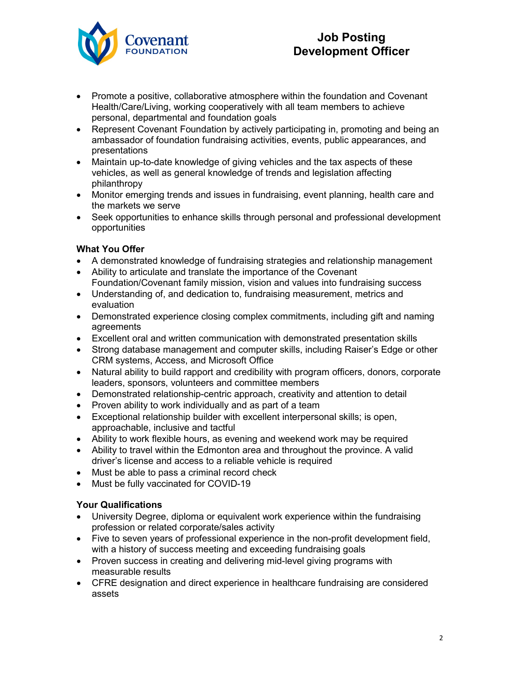

# **Job Posting Development Officer**

- Promote a positive, collaborative atmosphere within the foundation and Covenant Health/Care/Living, working cooperatively with all team members to achieve personal, departmental and foundation goals
- Represent Covenant Foundation by actively participating in, promoting and being an ambassador of foundation fundraising activities, events, public appearances, and presentations
- Maintain up-to-date knowledge of giving vehicles and the tax aspects of these vehicles, as well as general knowledge of trends and legislation affecting philanthropy
- Monitor emerging trends and issues in fundraising, event planning, health care and the markets we serve
- Seek opportunities to enhance skills through personal and professional development opportunities

# **What You Offer**

- A demonstrated knowledge of fundraising strategies and relationship management
- Ability to articulate and translate the importance of the Covenant Foundation/Covenant family mission, vision and values into fundraising success
- Understanding of, and dedication to, fundraising measurement, metrics and evaluation
- Demonstrated experience closing complex commitments, including gift and naming agreements
- Excellent oral and written communication with demonstrated presentation skills
- Strong database management and computer skills, including Raiser's Edge or other CRM systems, Access, and Microsoft Office
- Natural ability to build rapport and credibility with program officers, donors, corporate leaders, sponsors, volunteers and committee members
- Demonstrated relationship-centric approach, creativity and attention to detail
- Proven ability to work individually and as part of a team
- Exceptional relationship builder with excellent interpersonal skills; is open, approachable, inclusive and tactful
- Ability to work flexible hours, as evening and weekend work may be required
- Ability to travel within the Edmonton area and throughout the province. A valid driver's license and access to a reliable vehicle is required
- Must be able to pass a criminal record check
- Must be fully vaccinated for COVID-19

## **Your Qualifications**

- University Degree, diploma or equivalent work experience within the fundraising profession or related corporate/sales activity
- Five to seven years of professional experience in the non-profit development field, with a history of success meeting and exceeding fundraising goals
- Proven success in creating and delivering mid-level giving programs with measurable results
- CFRE designation and direct experience in healthcare fundraising are considered assets